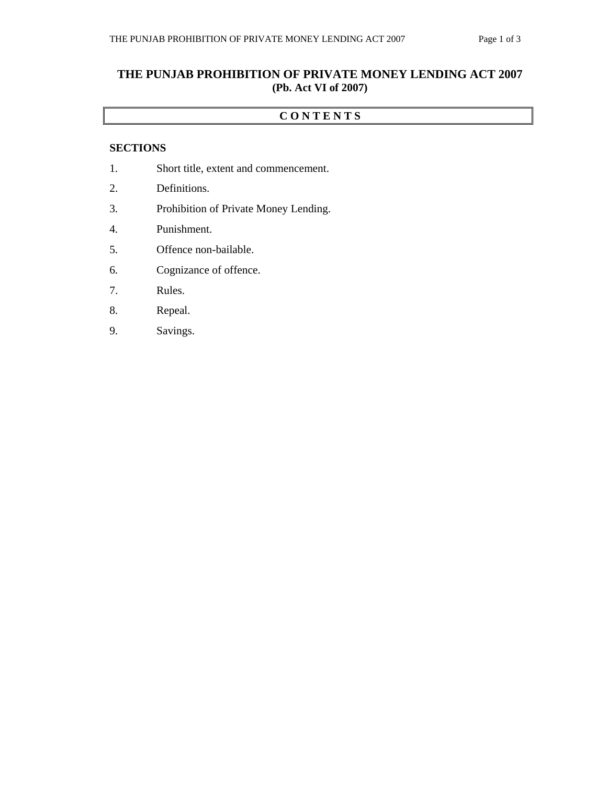# **THE PUNJAB PROHIBITION OF PRIVATE MONEY LENDING ACT 2007 (Pb. Act VI of 2007)**

### **C O N T E N T S**

### **SECTIONS**

- 1. Short title, extent and commencement.
- 2. Definitions.
- 3. Prohibition of Private Money Lending.
- 4. Punishment.
- 5. Offence non-bailable.
- 6. Cognizance of offence.
- 7. Rules.
- 8. Repeal.
- 9. Savings.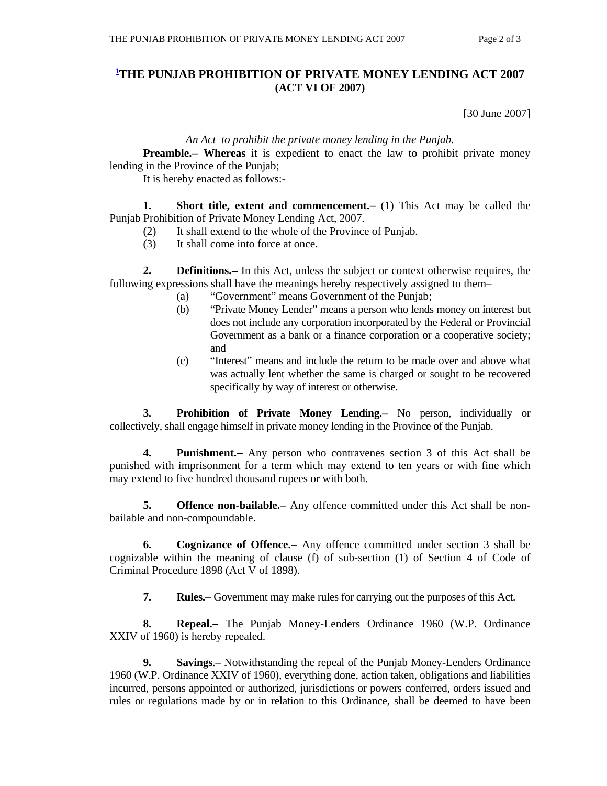## **1 THE PUNJAB PROHIBITION OF PRIVATE MONEY LENDING ACT 2007 (ACT VI OF 2007)**

[30 June 2007]

#### *An Act to prohibit the private money lending in the Punjab.*

**Preamble.** Whereas it is expedient to enact the law to prohibit private money lending in the Province of the Punjab;

It is hereby enacted as follows:-

**1.** Short title, extent and commencement. (1) This Act may be called the Punjab Prohibition of Private Money Lending Act, 2007.

- (2) It shall extend to the whole of the Province of Punjab.
- (3) It shall come into force at once.

**2. Definitions.**— In this Act, unless the subject or context otherwise requires, the following expressions shall have the meanings hereby respectively assigned to them–

- (a) "Government" means Government of the Punjab;
- (b) "Private Money Lender" means a person who lends money on interest but does not include any corporation incorporated by the Federal or Provincial Government as a bank or a finance corporation or a cooperative society; and
- (c) "Interest" means and include the return to be made over and above what was actually lent whether the same is charged or sought to be recovered specifically by way of interest or otherwise.

 **3. Prohibition of Private Money Lending.** No person, individually or collectively, shall engage himself in private money lending in the Province of the Punjab.

 **4. Punishment.** Any person who contravenes section 3 of this Act shall be punished with imprisonment for a term which may extend to ten years or with fine which may extend to five hundred thousand rupees or with both.

**5. Offence non-bailable.**— Any offence committed under this Act shall be nonbailable and non-compoundable.

 **6. Cognizance of Offence.** Any offence committed under section 3 shall be cognizable within the meaning of clause (f) of sub-section (1) of Section 4 of Code of Criminal Procedure 1898 (Act V of 1898).

**7.** Rules. Government may make rules for carrying out the purposes of this Act.

 **8. Repeal.** The Punjab Money-Lenders Ordinance 1960 (W.P. Ordinance XXIV of 1960) is hereby repealed.

 **9. Savings**.– Notwithstanding the repeal of the Punjab Money-Lenders Ordinance 1960 (W.P. Ordinance XXIV of 1960), everything done, action taken, obligations and liabilities incurred, persons appointed or authorized, jurisdictions or powers conferred, orders issued and rules or regulations made by or in relation to this Ordinance, shall be deemed to have been